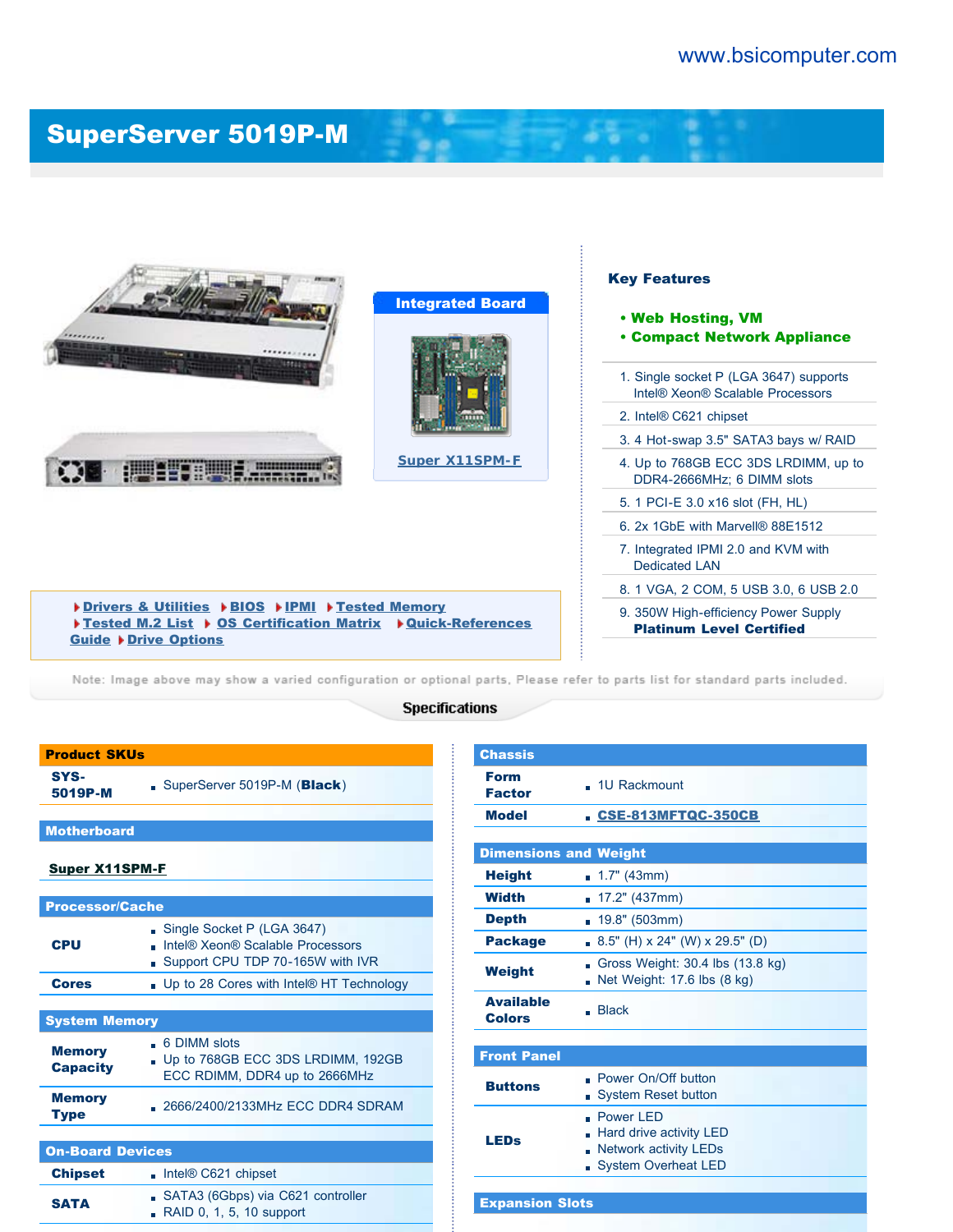## [SuperServer 5019P-M](http://www.bsicomputer.com/products/5019p-m-16722)



## Key Features

di all'in

- Web Hosting, VM
- Compact Network Appliance
- 1. Single socket P (LGA 3647) supports Intel® Xeon® Scalable Processors
- 2. Intel® C621 chipset
- 3. 4 Hot-swap 3.5" SATA3 bays w/ RAID
- 4. Up to 768GB ECC 3DS LRDIMM, up to DDR4-2666MHz; 6 DIMM slots
- 5. 1 PCI-E 3.0 x16 slot (FH, HL)
- 6. 2x 1GbE with Marvell® 88E1512
- 7. Integrated IPMI 2.0 and KVM with Dedicated LAN
- 8. 1 VGA, 2 COM, 5 USB 3.0, 6 USB 2.0
	- 9. 350W High-efficiency Power Supply Platinum Level Certified

[Drivers & Utilities](javascript:document.driversForm.submit();) ▶ [BIOS](javascript:document.biosForm.submit();) ▶ [IPMI](javascript:document.ipmiForm.submit();) ▶ [Tested Memory](javascript:document.memoryForm.submit();) [Tested M.2 List](http://www.supermicro.com/support/resources/M2SSD/display.cfm?SystemID=86060&ProductName=SS5019P-M) > [OS Certification Matrix](http://www.supermicro.com/support/resources/OS/OS_Certification_Intel.cfm?MProduct_Name=SYS%2D5019P%2DM) > [Quick-References](javascript:document.quickRefForm.submit();) [Guide](javascript:document.quickRefForm.submit();) > [Drive Options](javascript:document.HDDForm.submit();)

Note: Image above may show a varied configuration or optional parts, Please refer to parts list for standard parts included.

## **Specifications**

| <b>Product SKUs</b>              |                                                                                                    |  |  |  |  |
|----------------------------------|----------------------------------------------------------------------------------------------------|--|--|--|--|
| SYS-<br>5019P-M                  | SuperServer 5019P-M (Black)                                                                        |  |  |  |  |
|                                  |                                                                                                    |  |  |  |  |
| <b>Motherboard</b>               |                                                                                                    |  |  |  |  |
| <u>Super X11SPM-F</u>            |                                                                                                    |  |  |  |  |
|                                  |                                                                                                    |  |  |  |  |
| <b>Processor/Cache</b>           |                                                                                                    |  |  |  |  |
| <b>CPU</b>                       | Single Socket P (LGA 3647)<br>Intel® Xeon® Scalable Processors<br>Support CPU TDP 70-165W with IVR |  |  |  |  |
| <b>Cores</b>                     | . Up to 28 Cores with Intel® HT Technology                                                         |  |  |  |  |
|                                  |                                                                                                    |  |  |  |  |
| <b>System Memory</b>             |                                                                                                    |  |  |  |  |
| <b>Memory</b><br><b>Capacity</b> | • 6 DIMM slots<br>. Up to 768GB ECC 3DS LRDIMM, 192GB<br>ECC RDIMM, DDR4 up to 2666MHz             |  |  |  |  |
| <b>Memory</b><br><b>Type</b>     | 2666/2400/2133MHz ECC DDR4 SDRAM                                                                   |  |  |  |  |
|                                  |                                                                                                    |  |  |  |  |
| <b>On-Board Devices</b>          |                                                                                                    |  |  |  |  |
| <b>Chipset</b>                   | $\blacksquare$ Intel® C621 chipset                                                                 |  |  |  |  |
| <b>SATA</b>                      | SATA3 (6Gbps) via C621 controller<br>RAID 0, 1, 5, 10 support                                      |  |  |  |  |

| <b>Chassis</b>                    |                                                                                                          |  |  |  |  |
|-----------------------------------|----------------------------------------------------------------------------------------------------------|--|--|--|--|
| <b>Form</b><br><b>Factor</b>      | . 1U Rackmount                                                                                           |  |  |  |  |
| <b>Model</b>                      | CSE-813MFTQC-350CB                                                                                       |  |  |  |  |
|                                   |                                                                                                          |  |  |  |  |
|                                   | <b>Dimensions and Weight</b>                                                                             |  |  |  |  |
| <b>Height</b>                     | $\blacksquare$ 1.7" (43mm)                                                                               |  |  |  |  |
| <b>Width</b>                      | 17.2" (437mm)                                                                                            |  |  |  |  |
| <b>Depth</b>                      | 19.8" (503mm)                                                                                            |  |  |  |  |
| <b>Package</b>                    | 8.5" (H) x 24" (W) x 29.5" (D)                                                                           |  |  |  |  |
| Weight                            | Gross Weight: 30.4 lbs (13.8 kg)<br>'n.<br>Net Weight: 17.6 lbs (8 kg)                                   |  |  |  |  |
| <b>Available</b><br><b>Colors</b> | Back                                                                                                     |  |  |  |  |
|                                   |                                                                                                          |  |  |  |  |
| <b>Front Panel</b>                |                                                                                                          |  |  |  |  |
| <b>Buttons</b>                    | . Power On/Off button<br><b>System Reset button</b><br>m.                                                |  |  |  |  |
| LEDs                              | . Power <sub>IFD</sub><br>Hard drive activity LED<br><b>Network activity LEDs</b><br>System Overheat LED |  |  |  |  |
|                                   |                                                                                                          |  |  |  |  |
| <b>Expansion Slots</b>            |                                                                                                          |  |  |  |  |